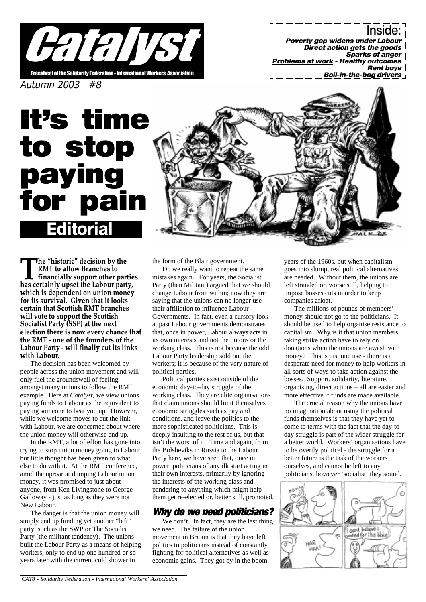

<u>Inside:</u> Poverty gap widens under Labour Direct action gets the goods Sparks of anger | **Problems at work - Healthy outcomes** Rent boys Boil-in-the-bag drivers

Autumn 2003 #8

# **Editoria** It's time to stop paying for

The "historic" decision by the<br>RMT to allow Branches to<br>tinancially support other partic<br>has certainly upset the Labour party, RMT to allow Branches to financially support other parties which is dependent on union money for its survival. Given that it looks certain that Scottish RMT branches will vote to support the Scottish Socialist Party (SSP) at the next election there is now every chance that the RMT - one of the founders of the Labour Party - will finally cut its links with Labour.

The decision has been welcomed by people across the union movement and will only fuel the groundswell of feeling amongst many unions to follow the RMT example. Here at *Catalyst,* we view unions paying funds to Labour as the equivalent to paying someone to beat you up. However, while we welcome moves to cut the link with Labour, we are concerned about where the union money will otherwise end up.

In the RMT, a lot of effort has gone into trying to stop union money going to Labour, but little thought has been given to what else to do with it. At the RMT conference, amid the uproar at dumping Labour union money, it was promised to just about anyone, from Ken Livingstone to George Galloway - just as long as they were not New Labour.

The danger is that the union money will simply end up funding yet another "left" party, such as the SWP or The Socialist Party (the militant tendency). The unions built the Labour Party as a means of helping workers, only to end up one hundred or so years later with the current cold shower in

the form of the Blair government.

Do we really want to repeat the same mistakes again? For years, the Socialist Party (then Militant) argued that we should change Labour from within; now they are saying that the unions can no longer use their affiliation to influence Labour Governments. In fact, even a cursory look at past Labour governments demonstrates that, once in power, Labour always acts in its own interests and not the unions or the working class. This is not because the odd Labour Party leadership sold out the workers; it is because of the very nature of political parties.

Political parties exist outside of the economic day-to-day struggle of the working class. They are elite organisations that claim unions should limit themselves to economic struggles such as pay and conditions, and leave the politics to the more sophisticated politicians. This is deeply insulting to the rest of us, but that isn't the worst of it. Time and again, from the Bolsheviks in Russia to the Labour Party here, we have seen that, once in power, politicians of any ilk start acting in their own interests, primarily by ignoring the interests of the working class and pandering to anything which might help them get re-elected or, better still, promoted.

## Why do we need politicians?

We don't. In fact, they are the last thing we need. The failure of the union movement in Britain is that they have left politics to politicians instead of constantly fighting for political alternatives as well as economic gains. They got by in the boom

years of the 1960s, but when capitalism goes into slump, real political alternatives are needed. Without them, the unions are left stranded or, worse still, helping to impose bosses cuts in order to keep companies afloat.

The millions of pounds of members' money should not go to the politicians. It should be used to help organise resistance to capitalism. Why is it that union members taking strike action have to rely on donations when the unions are awash with money? This is just one use - there is a desperate need for money to help workers in all sorts of ways to take action against the bosses. Support, solidarity, literature, organising, direct actions – all are easier and more effective if funds are made available.

The crucial reason why the unions have no imagination about using the political funds themselves is that they have yet to come to terms with the fact that the day-today struggle is part of the wider struggle for a better world. Workers' organisations have to be overtly political - the struggle for a better future is the task of the workers ourselves, and cannot be left to any politicians, however 'socialist' they sound.

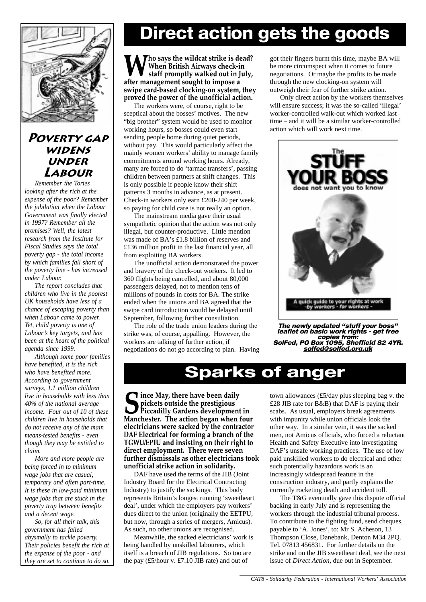

## POVERTY GAP **WIDENS UNDER** LABOUR

*Remember the Tories looking after the rich at the expense of the poor? Remember the jubilation when the Labour Government was finally elected in 1997? Remember all the promises? Well, the latest research from the Institute for Fiscal Studies says the total poverty gap - the total income by which families fall short of the poverty line - has increased under Labour.*

*The report concludes that children who live in the poorest UK households have less of a chance of escaping poverty than when Labour came to power. Yet, child poverty is one of Labour's key targets, and has been at the heart of the political agenda since 1999.*

*Although some poor families have benefited, it is the rich who have benefited more. According to government surveys, 1.1 million children live in households with less than 40% of the national average income. Four out of 10 of these children live in households that do not receive any of the main means-tested benefits - even though they may be entitled to claim.*

*More and more people are being forced in to minimum wage jobs that are casual, temporary and often part-time. It is these in low-paid minimum wage jobs that are stuck in the poverty trap between benefits and a decent wage.*

*So, for all their talk, this government has failed abysmally to tackle poverty. Their policies benefit the rich at the expense of the poor - and they are set to continue to do so.*

## Direct action gets the goods

Tho says the wildcat strike is dead? When British Airways check-in staff promptly walked out in July, after management sought to impose a swipe card-based clocking-on system, they proved the power of the unofficial action.

The workers were, of course, right to be sceptical about the bosses' motives. The new "big brother" system would be used to monitor working hours, so bosses could even start sending people home during quiet periods, without pay. This would particularly affect the mainly women workers' ability to manage family commitments around working hours. Already, many are forced to do 'tarmac transfers', passing children between partners at shift changes. This is only possible if people know their shift patterns 3 months in advance, as at present. Check-in workers only earn £200-240 per week, so paying for child care is not really an option.

The mainstream media gave their usual sympathetic opinion that the action was not only illegal, but counter-productive. Little mention was made of BA's £1.8 billion of reserves and £136 million profit in the last financial year, all from exploiting BA workers.

The unofficial action demonstrated the power and bravery of the check-out workers. It led to 360 flights being cancelled, and about 80,000 passengers delayed, not to mention tens of millions of pounds in costs for BA. The strike ended when the unions and BA agreed that the swipe card introduction would be delayed until September, following further consultation.

The role of the trade union leaders during the strike was, of course, appalling. However, the workers are talking of further action, if negotiations do not go according to plan. Having got their fingers burnt this time, maybe BA will be more circumspect when it comes to future negotiations. Or maybe the profits to be made through the new clocking-on system will outweigh their fear of further strike action.

Only direct action by the workers themselves will ensure success; it was the so-called 'illegal' worker-controlled walk-out which worked last time – and it will be a similar worker-controlled action which will work next time.



The newly updated "stuff your boss"<br>leaflet on basic work rights - get free copies from: SolFed, PO Box 1095, Sheffield S2 4YR. solfed@solfed.org.uk

## Sparks of anger

Since May, there have been daily<br>pickets outside the prestigious<br>Manchester. The action began when four pickets outside the prestigious Piccadilly Gardens development in electricians were sacked by the contractor DAF Electrical for forming a branch of the TGWU/EPIU and insisting on their right to direct employment. There were seven further dismissals as other electricians took unofficial strike action in solidarity.

DAF have used the terms of the JIB (Joint) Industry Board for the Electrical Contracting Industry) to justify the sackings. This body represents Britain's longest running 'sweetheart deal', under which the employers pay workers' dues direct to the union (originally the EETPU, but now, through a series of mergers, Amicus). As such, no other unions are recognised.

Meanwhile, the sacked electricians' work is being handled by unskilled labourers, which itself is a breach of JIB regulations. So too are the pay (£5/hour v. £7.10 JIB rate) and out of

town allowances (£5/day plus sleeping bag v. the £28 JIB rate for B&B) that DAF is paying their scabs. As usual, employers break agreements with impunity while union officials look the other way. In a similar vein, it was the sacked men, not Amicus officials, who forced a reluctant Health and Safety Executive into investigating DAF's unsafe working practices. The use of low paid unskilled workers to do electrical and other such potentially hazardous work is an increasingly widespread feature in the construction industry, and partly explains the currently rocketing death and accident toll.

The T&G eventually gave this dispute official backing in early July and is representing the workers through the industrial tribunal process. To contribute to the fighting fund, send cheques, payable to 'A. Jones', to: Mr S. Acheson, 13 Thompson Close, Danebank, Denton M34 2PQ. Tel. 07813 456831. For further details on the strike and on the JIB sweetheart deal, see the next issue of *Direct Action*, due out in September.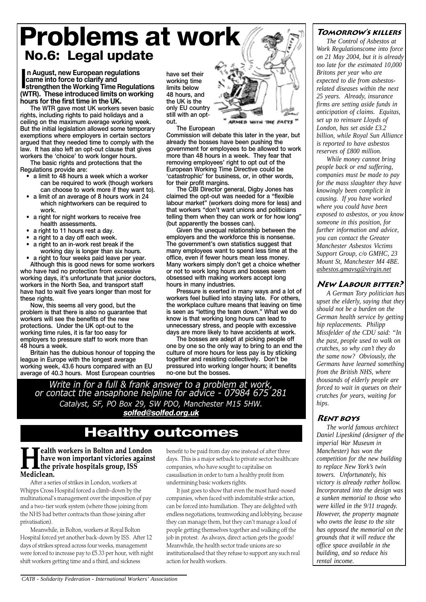## Problems at work No.6: Legal update

In August, new European regulations<br>
came into force to clarify and<br>
strengthen the Working Time Regulations<br>
(WTR). These introduced limits on working n August, new European regulations came into force to clarify and strengthen the Working Time Regulations hours for the first time in the UK.

The WTR gave most UK workers seven basic rights, including rights to paid holidays and a ceiling on the maximum average working week. But the initial legislation allowed some temporary exemptions where employers in certain sectors argued that they needed time to comply with the law. It has also left an opt-out clause that gives workers the 'choice' to work longer hours.

The basic rights and protections that the Regulations provide are:

- a limit to 48 hours a week which a worker can be required to work (though workers can choose to work more if they want to).
- a limit of an average of 8 hours work in 24 which nightworkers can be required to work.
- a right for night workers to receive free health assessments.
- a right to 11 hours rest a day.
- a right to a day off each week.
- a right to an in-work rest break if the working day is longer than six hours.
- a right to four weeks paid leave per year. Although this is good news for some workers

who have had no protection from excessive working days, it's unfortunate that junior doctors, workers in the North Sea, and transport staff have had to wait five years longer than most for these rights.

Now, this seems all very good, but the problem is that there is also no guarantee that workers will see the benefits of the new protections. Under the UK opt-out to the working time rules, it is far too easy for employers to pressure staff to work more than 48 hours a week.

Britain has the dubious honour of topping the league in Europe with the longest average working week, 43.6 hours compared with an EU average of 40.3 hours. Most European countries

have set their working time limits below 48 hours, and the UK is the only EU country still with an optout.

The European

Commission will debate this later in the year, but already the bosses have been pushing the government for employees to be allowed to work more than 48 hours in a week. They fear that removing employees' right to opt out of the European Working Time Directive could be 'catastrophic' for business, or, in other words, for their profit margins.

The CBI Director general, Digby Jones has claimed the opt-out was needed for a "flexible labour market" (workers doing more for less) and that workers "don't want unions and politicians telling them when they can work or for how long" (but apparently the bosses can).

Given the unequal relationship between the employers and the workforce this is nonsense. The government's own statistics suggest that many employees want to spend less time at the office, even if fewer hours mean less money. Many workers simply don't get a choice whether or not to work long hours and bosses seem obsessed with making workers accept long hours in many industries.

Pressure is exerted in many ways and a lot of workers feel bullied into staying late. For others, the workplace culture means that leaving on time is seen as "letting the team down." What we do know is that working long hours can lead to unnecessary stress, and people with excessive days are more likely to have accidents at work.

The bosses are adept at picking people off one by one so the only way to bring to an end the culture of more hours for less pay is by sticking together and resisting collectively. Don't be pressured into working longer hours; it benefits no-one but the bosses.

Write in for a full & frank answer to a problem at work, or contact the ansaphone helpline for advice - 07984 675 281 Catalyst, SF, PO Box 29, SW PDO, Manchester M15 5HW. solfed@solfed.org.uk

## Healthy outcomes

**Health workers in Bolton and London<br>have won important victories agains<br>Mediclean.** have won important victories against the private hospitals group, ISS Mediclean.

After a series of strikes in London, workers at Whipps Cross Hospital forced a climb-down by the multinational's management over the imposition of pay and a two-tier work system (where those joining from the NHS had better contracts than those joining after privatisation).

Meanwhile, in Bolton, workers at Royal Bolton Hospital forced yet another back-down by ISS. After 12 days of strikes spread across four weeks, management were forced to increase pay to £5.33 per hour, with night shift workers getting time and a third, and sickness

benefit to be paid from day one instead of after three days. This is a major setback to private sector healthcare companies, who have sought to capitalise on casualisation in order to turn a healthy profit from undermining basic workers rights.

It just goes to show that even the most hard-nosed companies, when faced with indomitable strike action, can be forced into humiliation. They are delighted with endless negotiations, teamworking and lobbying, because they can manage them, but they can't manage a load of people getting themselves together and walking off the job in protest. As always, direct action gets the goods! Meanwhile, the health sector trade unions are so institutionalised that they refuse to support any such real action for health workers.

#### Tomorrows killers

*The Control of Asbestos at Work Regulationscome into force on 21 May 2004, but it is already too late for the estimated 10,000 Britons per year who are expected to die from asbestosrelated diseases within the next 25 years. Already, insurance firms are setting aside funds in anticipation of claims. Equitas, set up to reinsure Lloyds of London, has set aside £3.2 billion, while Royal Sun Alliance is reported to have asbestos reserves of £800 million.*

*While money cannot bring people back or end suffering, companies must be made to pay for the mass slaughter they have knowingly been complicit in causing. If you have worked where you could have been exposed to asbestos, or you know someone in this position, for further information and advice, you can contact the Greater Manchester Asbestos Victims Support Group, c/o GMHC, 23 Mount St, Manchester M4 4BE. asbestos.gmavsg@virgin.net*

### New Labour bitter?

*A German Tory politician has upset the elderly, saying that they should not be a burden on the German health service by getting hip replacements. Philipp Missfelder of the CDU said: "In the past, people used to walk on crutches, so why can't they do the same now? Obviously, the Germans have learned something from the British NHS, where thousands of elderly people are forced to wait in queues on their crutches for years, waiting for hips.*

#### Rent boys

*The world famous architect Daniel Lipeskind (designer of the imperial War Museum in Manchester) has won the competition for the new building to replace New York's twin towers. Unfortunately, his victory is already rather hollow. Incorporated into the design was a sunken memorial to those who were killed in the 9/11 tragedy. However, the property magnate who owns the lease to the site has opposed the memorial on the grounds that it will reduce the office space available in the building, and so reduce his rental income.*